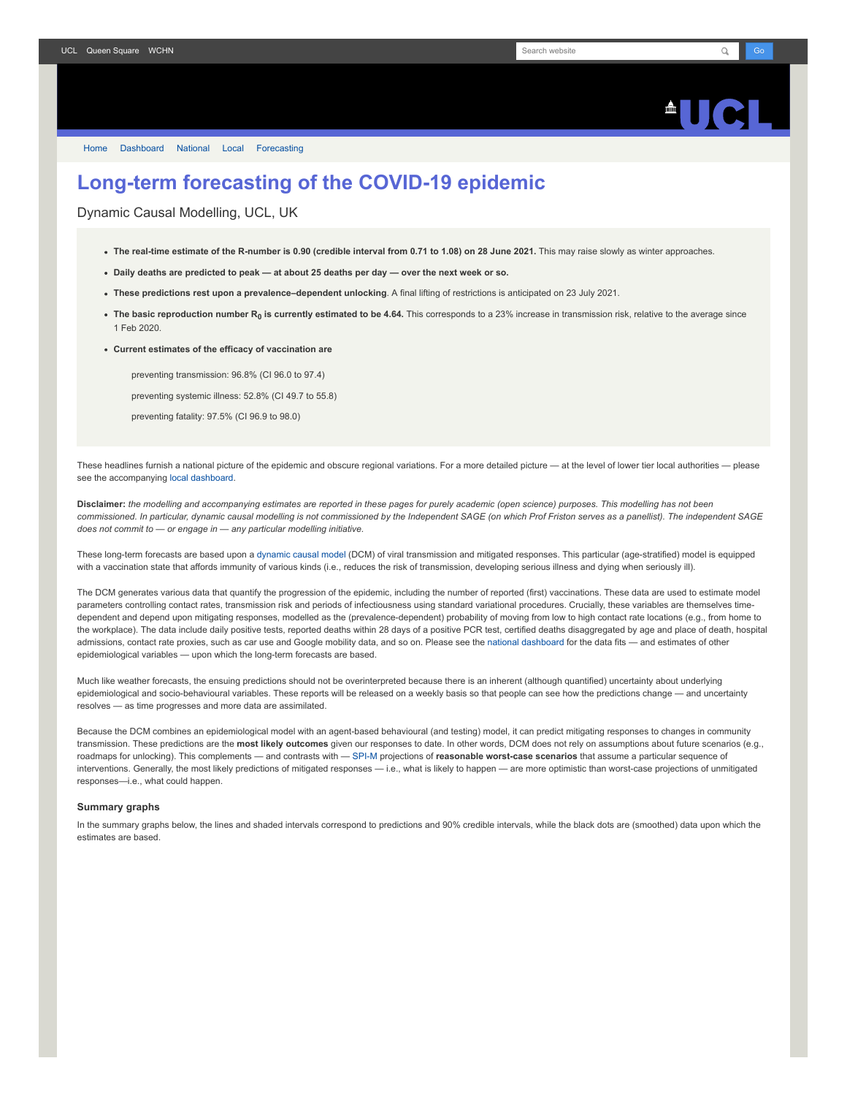## **AUC**

[Home](https://www.fil.ion.ucl.ac.uk/spm/covid-19/) [Dashboard](https://www.fil.ion.ucl.ac.uk/spm/covid-19/dashboard/) [National](https://www.fil.ion.ucl.ac.uk/spm/covid-19/dashboard/) [Local](https://www.fil.ion.ucl.ac.uk/spm/covid-19/dashboard/local/) [Forecasting](https://www.fil.ion.ucl.ac.uk/spm/covid-19/forecasting/)

## **Long-term forecasting of the COVID-19 epidemic**

Dynamic Causal Modelling, UCL, UK

- **The real-time estimate of the R-number is 0.90 (credible interval from 0.71 to 1.08) on 28 June 2021.** This may raise slowly as winter approaches.
- **Daily deaths are predicted to peak at about 25 deaths per day over the next week or so.**
- **These predictions rest upon a prevalence–dependent unlocking**. A final lifting of restrictions is anticipated on 23 July 2021.
- **The basic reproduction number R<sup>0</sup> is currently estimated to be 4.64.** This corresponds to a 23% increase in transmission risk, relative to the average since 1 Feb 2020.

**Current estimates of the efficacy of vaccination are**

preventing transmission: 96.8% (CI 96.0 to 97.4) preventing systemic illness: 52.8% (CI 49.7 to 55.8)

preventing fatality: 97.5% (CI 96.9 to 98.0)

These headlines furnish a national picture of the epidemic and obscure regional variations. For a more detailed picture - at the level of lower tier local authorities -- please see the accompanying [local dashboard.](https://www.fil.ion.ucl.ac.uk/spm/covid-19/dashboard/local/)

**Disclaimer:** *the modelling and accompanying estimates are reported in these pages for purely academic (open science) purposes. This modelling has not been commissioned. In particular, dynamic causal modelling is not commissioned by the Independent SAGE (on which Prof Friston serves as a panellist). The independent SAGE does not commit to — or engage in — any particular modelling initiative.*

These long-term forecasts are based upon a [dynamic causal model](https://www.fil.ion.ucl.ac.uk/spm/covid-19) (DCM) of viral transmission and mitigated responses. This particular (age-stratified) model is equipped with a vaccination state that affords immunity of various kinds (i.e., reduces the risk of transmission, developing serious illness and dying when seriously ill).

The DCM generates various data that quantify the progression of the epidemic, including the number of reported (first) vaccinations. These data are used to estimate model parameters controlling contact rates, transmission risk and periods of infectiousness using standard variational procedures. Crucially, these variables are themselves timedependent and depend upon mitigating responses, modelled as the (prevalence-dependent) probability of moving from low to high contact rate locations (e.g., from home to the workplace). The data include daily positive tests, reported deaths within 28 days of a positive PCR test, certified deaths disaggregated by age and place of death, hospital admissions, contact rate proxies, such as car use and Google mobility data, and so on. Please see the [national dashboard](https://www.fil.ion.ucl.ac.uk/spm/covid-19/dashboard/) for the data fits — and estimates of other epidemiological variables — upon which the long-term forecasts are based.

Much like weather forecasts, the ensuing predictions should not be overinterpreted because there is an inherent (although quantified) uncertainty about underlying epidemiological and socio-behavioural variables. These reports will be released on a weekly basis so that people can see how the predictions change - and uncertainty resolves — as time progresses and more data are assimilated.

Because the DCM combines an epidemiological model with an agent-based behavioural (and testing) model, it can predict mitigating responses to changes in community transmission. These predictions are the **most likely outcomes** given our responses to date. In other words, DCM does not rely on assumptions about future scenarios (e.g., roadmaps for unlocking). This complements — and contrasts with — [SPI-M](https://www.gov.uk/government/groups/scientific-pandemic-influenza-subgroup-on-modelling) projections of **reasonable worst-case scenarios** that assume a particular sequence of interventions. Generally, the most likely predictions of mitigated responses — i.e., what is likely to happen — are more optimistic than worst-case projections of unmitigated responses—i.e., what could happen.

## **Summary graphs**

In the summary graphs below, the lines and shaded intervals correspond to predictions and 90% credible intervals, while the black dots are (smoothed) data upon which the estimates are based.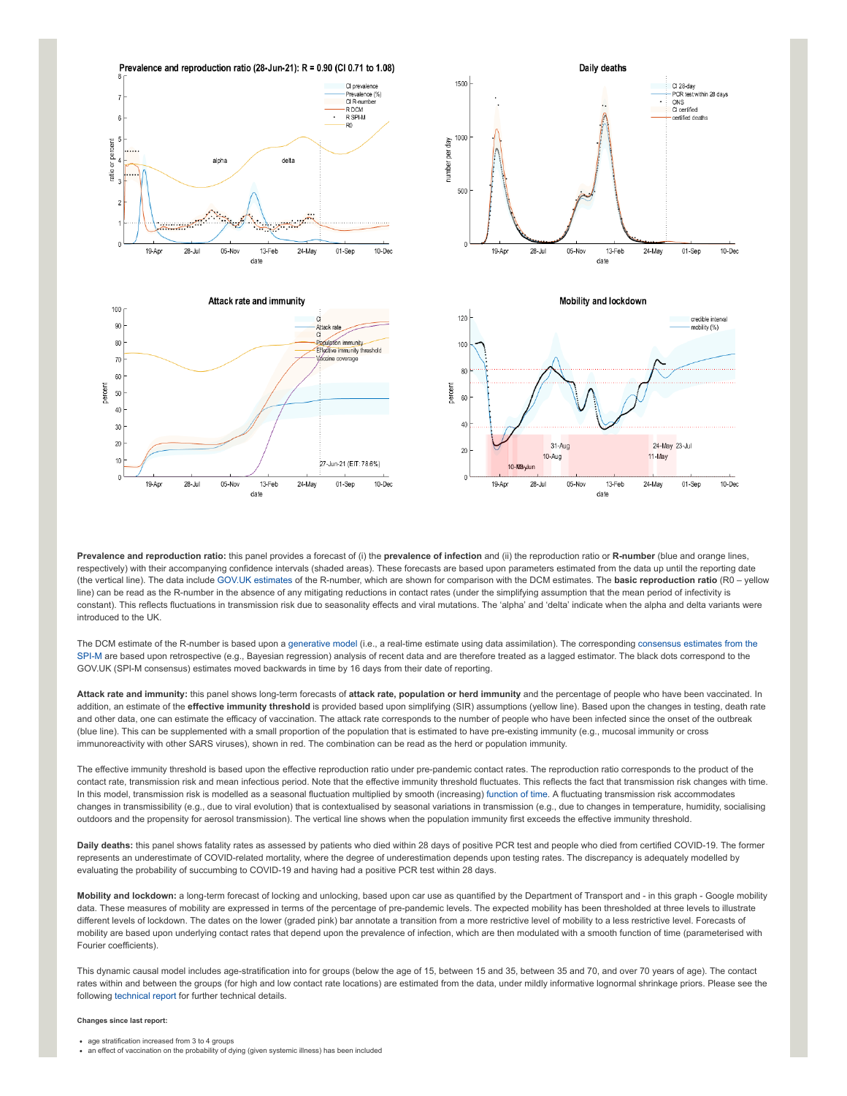

**Prevalence and reproduction ratio:** this panel provides a forecast of (i) the **prevalence of infection** and (ii) the reproduction ratio or **R-number** (blue and orange lines, respectively) with their accompanying confidence intervals (shaded areas). These forecasts are based upon parameters estimated from the data up until the reporting date (the vertical line). The data include [GOV.UK estimates](https://www.gov.uk/guidance/the-r-number-in-the-uk#latest-r-and-growth-rate) of the R-number, which are shown for comparison with the DCM estimates. The **basic reproduction ratio** (R0 – yellow line) can be read as the R-number in the absence of any mitigating reductions in contact rates (under the simplifying assumption that the mean period of infectivity is constant). This reflects fluctuations in transmission risk due to seasonality effects and viral mutations. The 'alpha' and 'delta' indicate when the alpha and delta variants were introduced to the UK.

[The DCM estimate of the R-number is based upon a g](https://www.gov.uk/guidance/the-r-number-in-the-uk#contents)[enerative mode](https://en.wikipedia.org/wiki/Generative_model)[l \(i.e., a real-time estimate using data assimilation\). The corresponding consensus estimates from the](https://www.gov.uk/guidance/the-r-number-in-the-uk#contents) SPI-M are based upon retrospective (e.g., Bayesian regression) analysis of recent data and are therefore treated as a lagged estimator. The black dots correspond to the GOV.UK (SPI-M consensus) estimates moved backwards in time by 16 days from their date of reporting.

**Attack rate and immunity:** this panel shows long-term forecasts of **attack rate, population or herd immunity** and the percentage of people who have been vaccinated. In addition, an estimate of the effective immunity threshold is provided based upon simplifying (SIR) assumptions (yellow line). Based upon the changes in testing, death rate and other data, one can estimate the efficacy of vaccination. The attack rate corresponds to the number of people who have been infected since the onset of the outbreak (blue line). This can be supplemented with a small proportion of the population that is estimated to have pre-existing immunity (e.g., mucosal immunity or cross immunoreactivity with other SARS viruses), shown in red. The combination can be read as the herd or population immunity.

The effective immunity threshold is based upon the effective reproduction ratio under pre-pandemic contact rates. The reproduction ratio corresponds to the product of the contact rate, transmission risk and mean infectious period. Note that the effective immunity threshold fluctuates. This reflects the fact that transmission risk changes with time. In this model, transmission risk is modelled as a seasonal fluctuation multiplied by smooth (increasing) [function of time.](https://www.medrxiv.org/content/10.1101/2021.01.10.21249520v1) A fluctuating transmission risk accommodates changes in transmissibility (e.g., due to viral evolution) that is contextualised by seasonal variations in transmission (e.g., due to changes in temperature, humidity, socialising outdoors and the propensity for aerosol transmission). The vertical line shows when the population immunity first exceeds the effective immunity threshold.

**Daily deaths:** this panel shows fatality rates as assessed by patients who died within 28 days of positive PCR test and people who died from certified COVID-19. The former represents an underestimate of COVID-related mortality, where the degree of underestimation depends upon testing rates. The discrepancy is adequately modelled by evaluating the probability of succumbing to COVID-19 and having had a positive PCR test within 28 days.

**Mobility and lockdown:** a long-term forecast of locking and unlocking, based upon car use as quantified by the Department of Transport and - in this graph - Google mobility data. These measures of mobility are expressed in terms of the percentage of pre-pandemic levels. The expected mobility has been thresholded at three levels to illustrate different levels of lockdown. The dates on the lower (graded pink) bar annotate a transition from a more restrictive level of mobility to a less restrictive level. Forecasts of mobility are based upon underlying contact rates that depend upon the prevalence of infection, which are then modulated with a smooth function of time (parameterised with Fourier coefficients).

This dynamic causal model includes age-stratification into for groups (below the age of 15, between 15 and 35, between 35 and 70, and over 70 years of age). The contact rates within and between the groups (for high and low contact rate locations) are estimated from the data, under mildly informative lognormal shrinkage priors. Please see the following [technical report](https://arxiv.org/abs/2011.12400) for further technical details.

## **Changes since last report:**

- age stratification increased from 3 to 4 groups
- an effect of vaccination on the probability of dying (given systemic illness) has been included